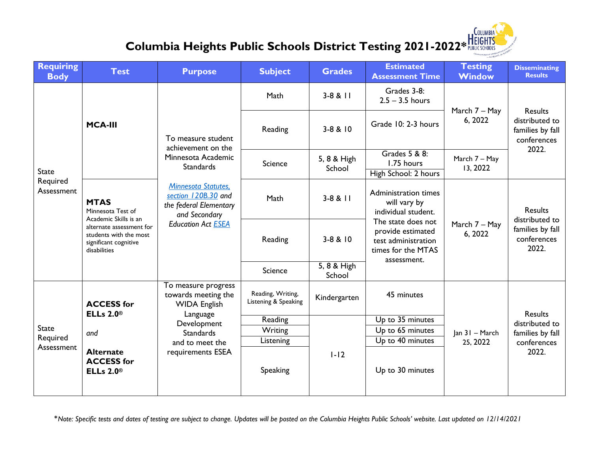## **Columbia Heights Public Schools District Testing 2021-2022\* HEIGHTS**

**COLUMBIA** 



\**Note: Specific tests and dates of testing are subject to change. Updates will be posted on the Columbia Heights Public Schools' website. Last updated on 12/14/2021*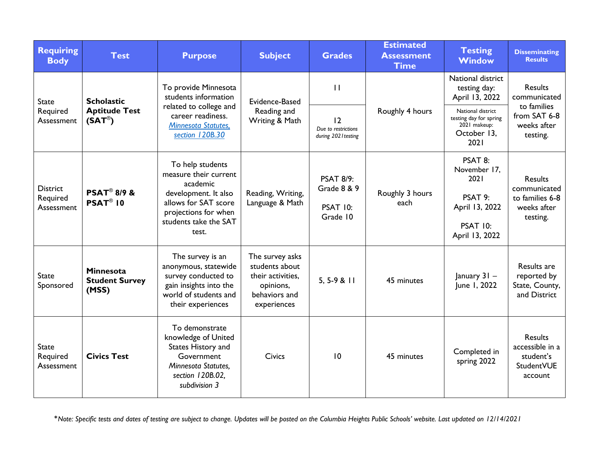| <b>Requiring</b><br><b>Body</b>           | <b>Test</b>                                                      | <b>Purpose</b>                                                                                                                                                  | <b>Subject</b>                                                                                      | <b>Grades</b>                                                             | <b>Estimated</b><br><b>Assessment</b><br><b>Time</b> | <b>Testing</b><br><b>Window</b>                                                                   | <b>Disseminating</b><br><b>Results</b>                                                   |
|-------------------------------------------|------------------------------------------------------------------|-----------------------------------------------------------------------------------------------------------------------------------------------------------------|-----------------------------------------------------------------------------------------------------|---------------------------------------------------------------------------|------------------------------------------------------|---------------------------------------------------------------------------------------------------|------------------------------------------------------------------------------------------|
| <b>State</b><br>Required<br>Assessment    | <b>Scholastic</b><br><b>Aptitude Test</b><br>$(SAT^{\circledR})$ | To provide Minnesota<br>students information<br>related to college and<br>career readiness.<br><b>Minnesota Statutes,</b><br>section 120B.30                    | Evidence-Based<br>Reading and<br>Writing & Math                                                     | $\mathbf{H}$                                                              | Roughly 4 hours                                      | National district<br>testing day:<br>April 13, 2022                                               | <b>Results</b><br>communicated<br>to families<br>from SAT 6-8<br>weeks after<br>testing. |
|                                           |                                                                  |                                                                                                                                                                 |                                                                                                     | 12<br>Due to restrictions<br>during 2021 testing                          |                                                      | National district<br>testing day for spring<br>2021 makeup:<br>October 13,<br>2021                |                                                                                          |
| <b>District</b><br>Required<br>Assessment | <b>PSAT® 8/9 &amp;</b><br>$PSAT^{\circledR}$ 10                  | To help students<br>measure their current<br>academic<br>development. It also<br>allows for SAT score<br>projections for when<br>students take the SAT<br>test. | Reading, Writing,<br>Language & Math                                                                | <b>PSAT 8/9:</b><br><b>Grade 8 &amp; 9</b><br><b>PSAT 10:</b><br>Grade 10 | Roughly 3 hours<br>each                              | PSAT 8:<br>November 17,<br>2021<br>PSAT 9:<br>April 13, 2022<br><b>PSAT 10:</b><br>April 13, 2022 | <b>Results</b><br>communicated<br>to families 6-8<br>weeks after<br>testing.             |
| <b>State</b><br>Sponsored                 | <b>Minnesota</b><br><b>Student Survey</b><br>(MSS)               | The survey is an<br>anonymous, statewide<br>survey conducted to<br>gain insights into the<br>world of students and<br>their experiences                         | The survey asks<br>students about<br>their activities,<br>opinions,<br>behaviors and<br>experiences | $5, 5-9 & 11$                                                             | 45 minutes                                           | January 31 -<br>June 1, 2022                                                                      | Results are<br>reported by<br>State, County,<br>and District                             |
| <b>State</b><br>Required<br>Assessment    | <b>Civics Test</b>                                               | To demonstrate<br>knowledge of United<br>States History and<br>Government<br>Minnesota Statutes,<br>section 120B.02,<br>subdivision 3                           | <b>Civics</b>                                                                                       | 10                                                                        | 45 minutes                                           | Completed in<br>spring 2022                                                                       | <b>Results</b><br>accessible in a<br>student's<br>StudentVUE<br>account                  |

\**Note: Specific tests and dates of testing are subject to change. Updates will be posted on the Columbia Heights Public Schools' website. Last updated on 12/14/2021*